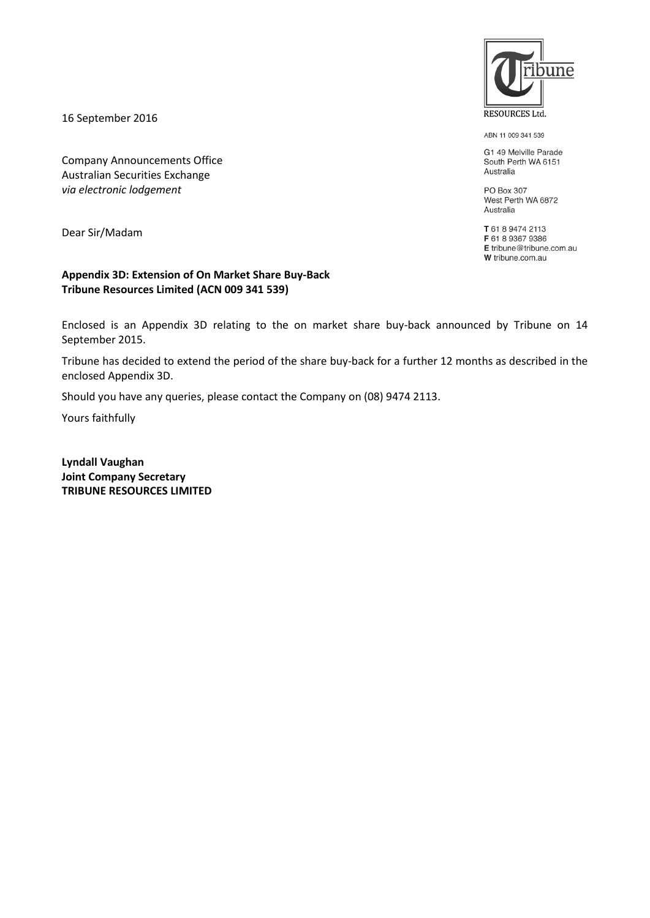16 September 2016

Company Announcements Office Australian Securities Exchange *via electronic lodgement*

Dear Sir/Madam

#### **Appendix 3D: Extension of On Market Share Buy-Back Tribune Resources Limited (ACN 009 341 539)**

Enclosed is an Appendix 3D relating to the on market share buy-back announced by Tribune on 14 September 2015.

Tribune has decided to extend the period of the share buy-back for a further 12 months as described in the enclosed Appendix 3D.

Should you have any queries, please contact the Company on (08) 9474 2113.

Yours faithfully

**Lyndall Vaughan Joint Company Secretary TRIBUNE RESOURCES LIMITED**



ABN 11 009 341 539

G1 49 Melville Parade South Perth WA 6151 Australia

PO Box 307 West Perth WA 6872 Australia

T 61 8 9474 2113 F 61 8 9367 9386 E tribune@tribune.com.au W tribune.com.au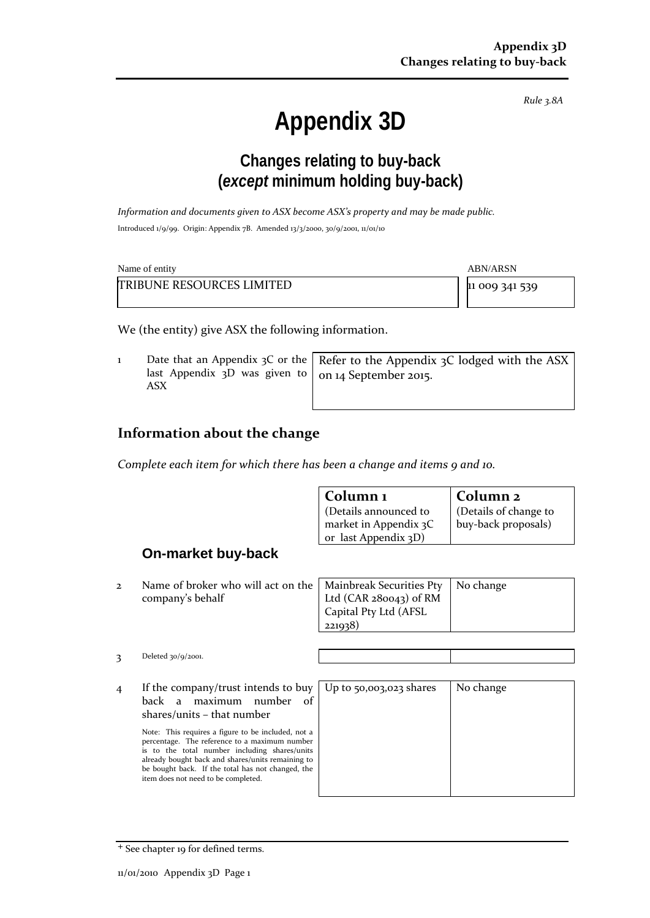*Rule 3.8A*

# **Appendix 3D**

## **Changes relating to buy-back (***except* **minimum holding buy-back)**

*Information and documents given to ASX become ASX's property and may be made public.* Introduced 1/9/99. Origin: Appendix 7B. Amended 13/3/2000, 30/9/2001, 11/01/10

| Name of entity                   | ABN/ARSN       |
|----------------------------------|----------------|
| <b>TRIBUNE RESOURCES LIMITED</b> | 11 009 341 539 |

We (the entity) give ASX the following information.

1 Date that an Appendix 3C or the last Appendix 3D was given to ASX Refer to the Appendix 3C lodged with the ASX on 14 September 2015.

#### **Information about the change**

*Complete each item for which there has been a change and items 9 and 10.*

|                |                                                                                                                                                                                                                                                                                                                                                                                                                   | Column <sub>1</sub><br>(Details announced to<br>market in Appendix 3C<br>or last Appendix 3D) | Column <sub>2</sub><br>(Details of change to<br>buy-back proposals) |
|----------------|-------------------------------------------------------------------------------------------------------------------------------------------------------------------------------------------------------------------------------------------------------------------------------------------------------------------------------------------------------------------------------------------------------------------|-----------------------------------------------------------------------------------------------|---------------------------------------------------------------------|
|                | On-market buy-back                                                                                                                                                                                                                                                                                                                                                                                                |                                                                                               |                                                                     |
| $\mathbf{2}$   | Name of broker who will act on the<br>company's behalf                                                                                                                                                                                                                                                                                                                                                            | Mainbreak Securities Pty<br>Ltd $(CAR 280043)$ of RM<br>Capital Pty Ltd (AFSL<br>221938)      | No change                                                           |
| 3              | Deleted $30/9/2001$ .                                                                                                                                                                                                                                                                                                                                                                                             |                                                                                               |                                                                     |
| $\overline{4}$ | If the company/trust intends to buy<br>maximum<br>number<br>back a<br>of<br>$shares/units - that number$<br>Note: This requires a figure to be included, not a<br>percentage. The reference to a maximum number<br>is to the total number including shares/units<br>already bought back and shares/units remaining to<br>be bought back. If the total has not changed, the<br>item does not need to be completed. | Up to 50,003,023 shares                                                                       | No change                                                           |

<sup>+</sup> See chapter 19 for defined terms.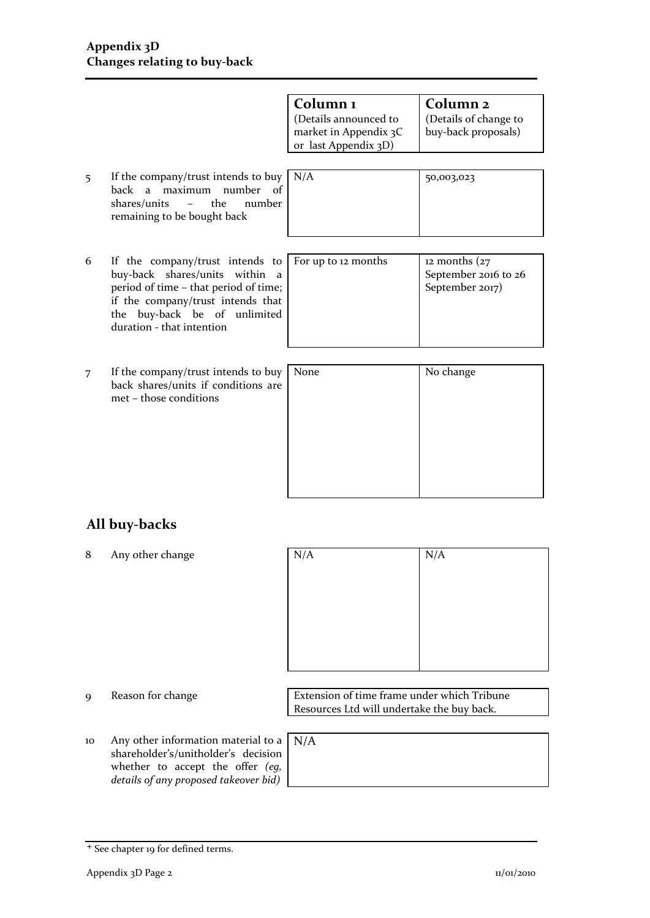|   |                                                                                                                                                                                                                       | Column <sub>1</sub><br>(Details announced to<br>market in Appendix 3C<br>or last Appendix 3D) | Column <sub>2</sub><br>(Details of change to<br>buy-back proposals)      |
|---|-----------------------------------------------------------------------------------------------------------------------------------------------------------------------------------------------------------------------|-----------------------------------------------------------------------------------------------|--------------------------------------------------------------------------|
| 5 | If the company/trust intends to buy<br>maximum number of<br>back a<br>the<br>shares/units<br>number<br>$\sim$<br>remaining to be bought back                                                                          | N/A                                                                                           | 50,003,023                                                               |
| 6 | If the company/trust intends to<br>buy-back shares/units<br>within<br>a<br>period of time - that period of time;<br>if the company/trust intends that<br>buy-back be of unlimited<br>the<br>duration - that intention | For up to 12 months                                                                           | $12$ months $\left(27\right)$<br>September 2016 to 26<br>September 2017) |
| 7 | If the company/trust intends to buy<br>back shares/units if conditions are<br>met – those conditions                                                                                                                  | None                                                                                          | No change                                                                |
|   |                                                                                                                                                                                                                       |                                                                                               |                                                                          |

### **All buy-backs**

8 Any other change

| N/A | N/A |
|-----|-----|
|     |     |
|     |     |
|     |     |
|     |     |
|     |     |

10 Any other information material to a shareholder's/unitholder's decision whether to accept the offer *(eg,* 

9 Reason for change Extension of time frame under which Tribune Resources Ltd will undertake the buy back.

*details of any proposed takeover bid)*

N/A

<sup>+</sup> See chapter 19 for defined terms.